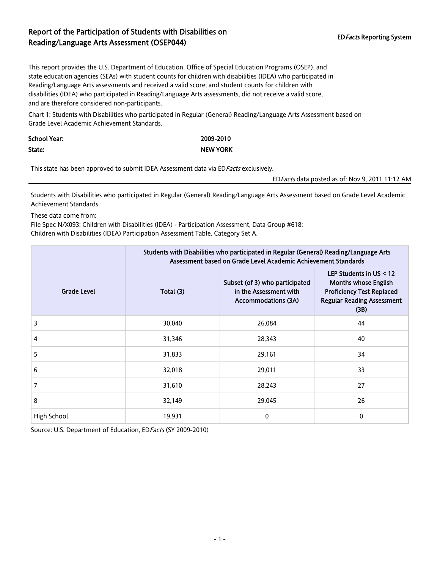## Report of the Participation of Students with Disabilities on EDFacts Reporting System Reading/Language Arts Assessment (OSEP044)

This report provides the U.S. Department of Education, Office of Special Education Programs (OSEP), and state education agencies (SEAs) with student counts for children with disabilities (IDEA) who participated in Reading/Language Arts assessments and received a valid score; and student counts for children with disabilities (IDEA) who participated in Reading/Language Arts assessments, did not receive a valid score, and are therefore considered non-participants.

Chart 1: Students with Disabilities who participated in Regular (General) Reading/Language Arts Assessment based on Grade Level Academic Achievement Standards.

| School Year: | 2009-2010       |
|--------------|-----------------|
| State:       | <b>NEW YORK</b> |

This state has been approved to submit IDEA Assessment data via ED Facts exclusively.

EDFacts data posted as of: Nov 9, 2011 11:12 AM

Students with Disabilities who participated in Regular (General) Reading/Language Arts Assessment based on Grade Level Academic Achievement Standards.

These data come from:

File Spec N/X093: Children with Disabilities (IDEA) - Participation Assessment, Data Group #618: Children with Disabilities (IDEA) Participation Assessment Table, Category Set A.

|                    | Students with Disabilities who participated in Regular (General) Reading/Language Arts<br>Assessment based on Grade Level Academic Achievement Standards |                                                                                        |                                                                                                                                           |  |
|--------------------|----------------------------------------------------------------------------------------------------------------------------------------------------------|----------------------------------------------------------------------------------------|-------------------------------------------------------------------------------------------------------------------------------------------|--|
| <b>Grade Level</b> | Total (3)                                                                                                                                                | Subset (of 3) who participated<br>in the Assessment with<br><b>Accommodations (3A)</b> | LEP Students in $US < 12$<br><b>Months whose English</b><br><b>Proficiency Test Replaced</b><br><b>Regular Reading Assessment</b><br>(3B) |  |
| 3                  | 30,040                                                                                                                                                   | 26,084                                                                                 | 44                                                                                                                                        |  |
| 4                  | 31,346                                                                                                                                                   | 28,343                                                                                 | 40                                                                                                                                        |  |
| 5                  | 31,833                                                                                                                                                   | 29,161                                                                                 | 34                                                                                                                                        |  |
| 6                  | 32,018                                                                                                                                                   | 29,011                                                                                 | 33                                                                                                                                        |  |
| 7                  | 31,610                                                                                                                                                   | 28,243                                                                                 | 27                                                                                                                                        |  |
| 8                  | 32,149                                                                                                                                                   | 29,045                                                                                 | 26                                                                                                                                        |  |
| High School        | 19,931                                                                                                                                                   | 0                                                                                      | 0                                                                                                                                         |  |

Source: U.S. Department of Education, ED Facts (SY 2009-2010)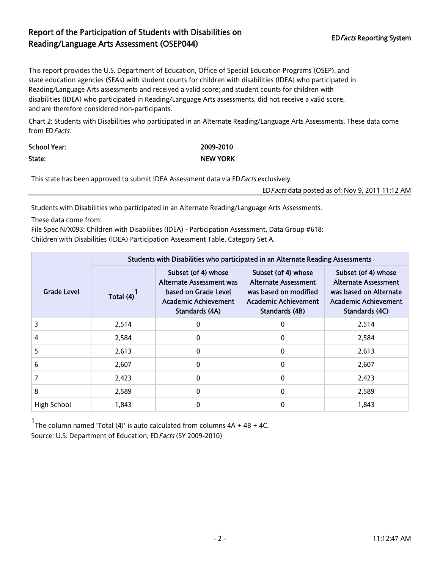## Report of the Participation of Students with Disabilities on EDFacts Reporting System Reading/Language Arts Assessment (OSEP044)

This report provides the U.S. Department of Education, Office of Special Education Programs (OSEP), and state education agencies (SEAs) with student counts for children with disabilities (IDEA) who participated in Reading/Language Arts assessments and received a valid score; and student counts for children with disabilities (IDEA) who participated in Reading/Language Arts assessments, did not receive a valid score, and are therefore considered non-participants.

Chart 2: Students with Disabilities who participated in an Alternate Reading/Language Arts Assessments. These data come from EDFacts.

| School Year: | 2009-2010       |
|--------------|-----------------|
| State:       | <b>NEW YORK</b> |

This state has been approved to submit IDEA Assessment data via ED Facts exclusively.

EDFacts data posted as of: Nov 9, 2011 11:12 AM

Students with Disabilities who participated in an Alternate Reading/Language Arts Assessments.

These data come from:

File Spec N/X093: Children with Disabilities (IDEA) - Participation Assessment, Data Group #618: Children with Disabilities (IDEA) Participation Assessment Table, Category Set A.

|                    |           | Students with Disabilities who participated in an Alternate Reading Assessments                                   |                                                                                                                       |                                                                                                                        |  |
|--------------------|-----------|-------------------------------------------------------------------------------------------------------------------|-----------------------------------------------------------------------------------------------------------------------|------------------------------------------------------------------------------------------------------------------------|--|
| <b>Grade Level</b> | Total (4) | Subset (of 4) whose<br>Alternate Assessment was<br>based on Grade Level<br>Academic Achievement<br>Standards (4A) | Subset (of 4) whose<br><b>Alternate Assessment</b><br>was based on modified<br>Academic Achievement<br>Standards (4B) | Subset (of 4) whose<br><b>Alternate Assessment</b><br>was based on Alternate<br>Academic Achievement<br>Standards (4C) |  |
| 3                  | 2,514     | 0                                                                                                                 | 0                                                                                                                     | 2,514                                                                                                                  |  |
| 4                  | 2,584     | 0                                                                                                                 | 0                                                                                                                     | 2,584                                                                                                                  |  |
| 5                  | 2,613     | 0                                                                                                                 | 0                                                                                                                     | 2,613                                                                                                                  |  |
| 6                  | 2,607     | $\Omega$                                                                                                          | $\Omega$                                                                                                              | 2,607                                                                                                                  |  |
|                    | 2,423     | $\Omega$                                                                                                          | $\Omega$                                                                                                              | 2,423                                                                                                                  |  |
| 8                  | 2,589     | 0                                                                                                                 | 0                                                                                                                     | 2,589                                                                                                                  |  |
| High School        | 1,843     | $\Omega$                                                                                                          | $\Omega$                                                                                                              | 1,843                                                                                                                  |  |

1 The column named 'Total (4)' is auto calculated from columns 4A + 4B + 4C. Source: U.S. Department of Education, ED Facts (SY 2009-2010)